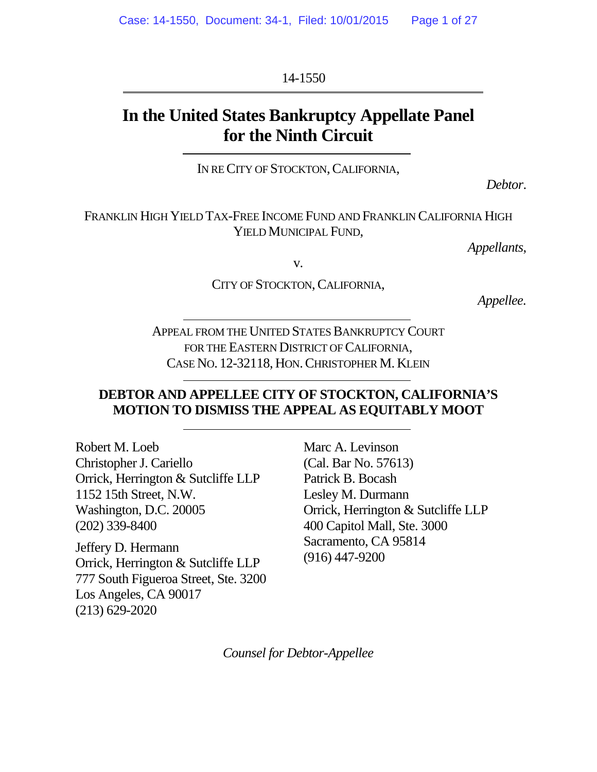14-1550

# **In the United States Bankruptcy Appellate Panel for the Ninth Circuit**

IN RECITY OF STOCKTON, CALIFORNIA,

*Debtor*.

FRANKLIN HIGH YIELD TAX-FREE INCOME FUND AND FRANKLIN CALIFORNIA HIGH YIELD MUNICIPAL FUND.

*Appellants*,

v.

CITY OF STOCKTON, CALIFORNIA,

*Appellee.*

APPEAL FROM THE UNITED STATES BANKRUPTCY COURT FOR THE EASTERN DISTRICT OF CALIFORNIA. CASE NO. 12-32118, HON.CHRISTOPHER M. KLEIN

## **DEBTOR AND APPELLEE CITY OF STOCKTON, CALIFORNIA'S MOTION TO DISMISS THE APPEAL AS EQUITABLY MOOT**

Robert M. Loeb Christopher J. Cariello Orrick, Herrington & Sutcliffe LLP 1152 15th Street, N.W. Washington, D.C. 20005 (202) 339-8400

Jeffery D. Hermann Orrick, Herrington & Sutcliffe LLP 777 South Figueroa Street, Ste. 3200 Los Angeles, CA 90017 (213) 629-2020

Marc A. Levinson (Cal. Bar No. 57613) Patrick B. Bocash Lesley M. Durmann Orrick, Herrington & Sutcliffe LLP 400 Capitol Mall, Ste. 3000 Sacramento, CA 95814 (916) 447-9200

*Counsel for Debtor-Appellee*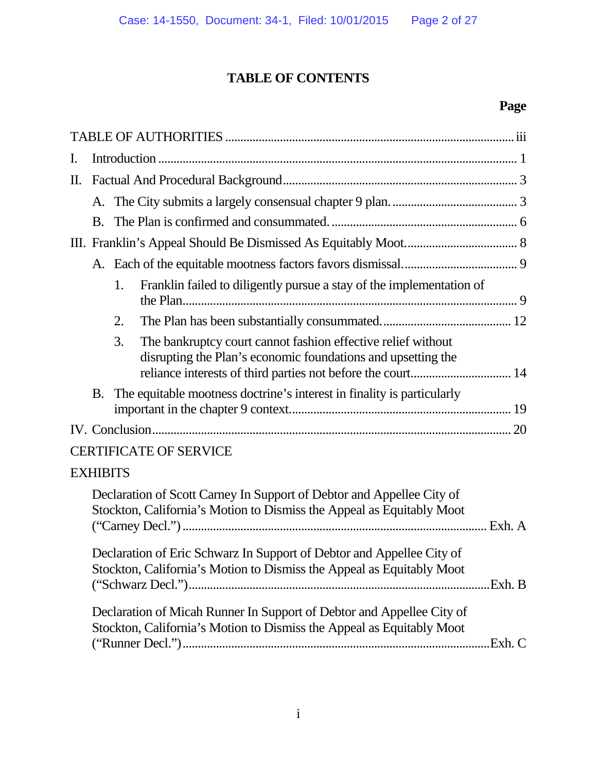# **TABLE OF CONTENTS**

## **Page**

| I. |                 |    |                                                                                                                                                                                             |  |
|----|-----------------|----|---------------------------------------------------------------------------------------------------------------------------------------------------------------------------------------------|--|
| П. |                 |    |                                                                                                                                                                                             |  |
|    |                 |    |                                                                                                                                                                                             |  |
|    | <b>B.</b>       |    |                                                                                                                                                                                             |  |
|    |                 |    |                                                                                                                                                                                             |  |
|    |                 |    |                                                                                                                                                                                             |  |
|    |                 | 1. | Franklin failed to diligently pursue a stay of the implementation of                                                                                                                        |  |
|    |                 | 2. |                                                                                                                                                                                             |  |
|    |                 | 3. | The bankruptcy court cannot fashion effective relief without<br>disrupting the Plan's economic foundations and upsetting the<br>reliance interests of third parties not before the court 14 |  |
|    | B.              |    | The equitable mootness doctrine's interest in finality is particularly                                                                                                                      |  |
|    |                 |    |                                                                                                                                                                                             |  |
|    |                 |    | <b>CERTIFICATE OF SERVICE</b>                                                                                                                                                               |  |
|    | <b>EXHIBITS</b> |    |                                                                                                                                                                                             |  |
|    |                 |    | Declaration of Scott Carney In Support of Debtor and Appellee City of<br>Stockton, California's Motion to Dismiss the Appeal as Equitably Moot                                              |  |
|    |                 |    | Declaration of Eric Schwarz In Support of Debtor and Appellee City of<br>Stockton, California's Motion to Dismiss the Appeal as Equitably Moot                                              |  |
|    |                 |    | Declaration of Micah Runner In Support of Debtor and Appellee City of<br>Stockton, California's Motion to Dismiss the Appeal as Equitably Moot                                              |  |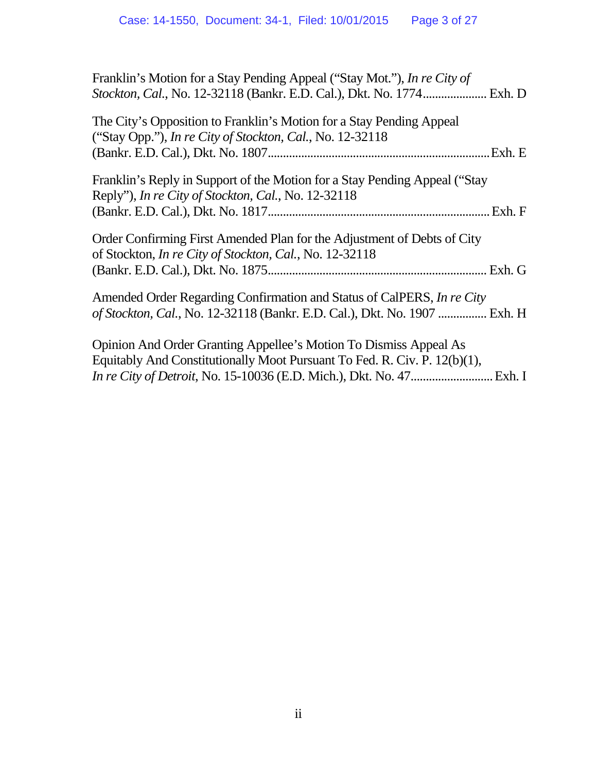| Franklin's Motion for a Stay Pending Appeal ("Stay Mot."), In re City of   |
|----------------------------------------------------------------------------|
| Stockton, Cal., No. 12-32118 (Bankr. E.D. Cal.), Dkt. No. 1774 Exh. D      |
| The City's Opposition to Franklin's Motion for a Stay Pending Appeal       |
| ("Stay Opp."), In re City of Stockton, Cal., No. 12-32118                  |
| .Exh. E                                                                    |
| Franklin's Reply in Support of the Motion for a Stay Pending Appeal ("Stay |
| Reply"), In re City of Stockton, Cal., No. 12-32118                        |
| . Exh. F                                                                   |
| Order Confirming First Amended Plan for the Adjustment of Debts of City    |
| of Stockton, In re City of Stockton, Cal., No. 12-32118                    |
|                                                                            |
| Amended Order Regarding Confirmation and Status of CalPERS, In re City     |
| of Stockton, Cal., No. 12-32118 (Bankr. E.D. Cal.), Dkt. No. 1907  Exh. H  |
| Opinion And Order Granting Appellee's Motion To Dismiss Appeal As          |
| Equitably And Constitutionally Moot Pursuant To Fed. R. Civ. P. 12(b)(1),  |
|                                                                            |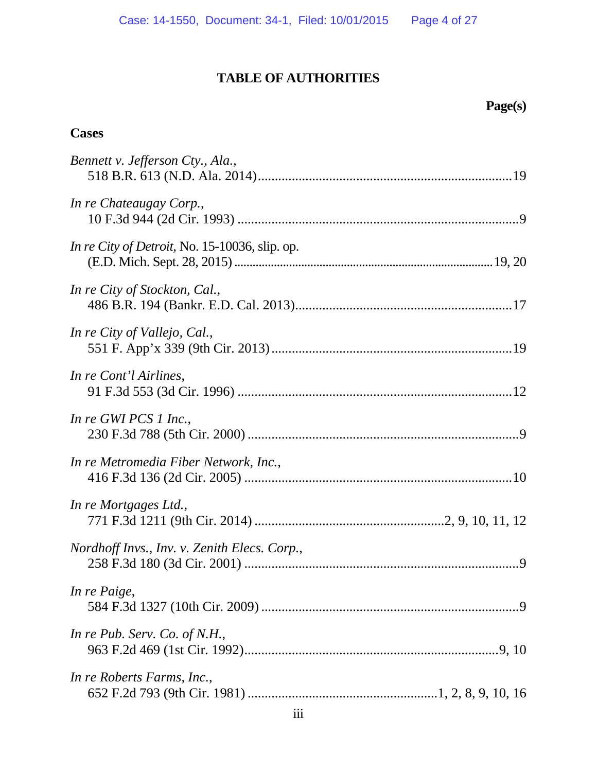## **TABLE OF AUTHORITIES**

# **Page(s)**

## **Cases**

| Bennett v. Jefferson Cty., Ala.,               |
|------------------------------------------------|
| In re Chateaugay Corp.,                        |
| In re City of Detroit, No. 15-10036, slip. op. |
| In re City of Stockton, Cal.,                  |
| In re City of Vallejo, Cal.,                   |
| In re Cont'l Airlines,                         |
| In re GWI PCS 1 Inc.,                          |
| In re Metromedia Fiber Network, Inc.,          |
| In re Mortgages Ltd.,                          |
| Nordhoff Invs., Inv. v. Zenith Elecs. Corp.,   |
| In re Paige,                                   |
| In re Pub. Serv. Co. of N.H.,                  |
| In re Roberts Farms, Inc.,                     |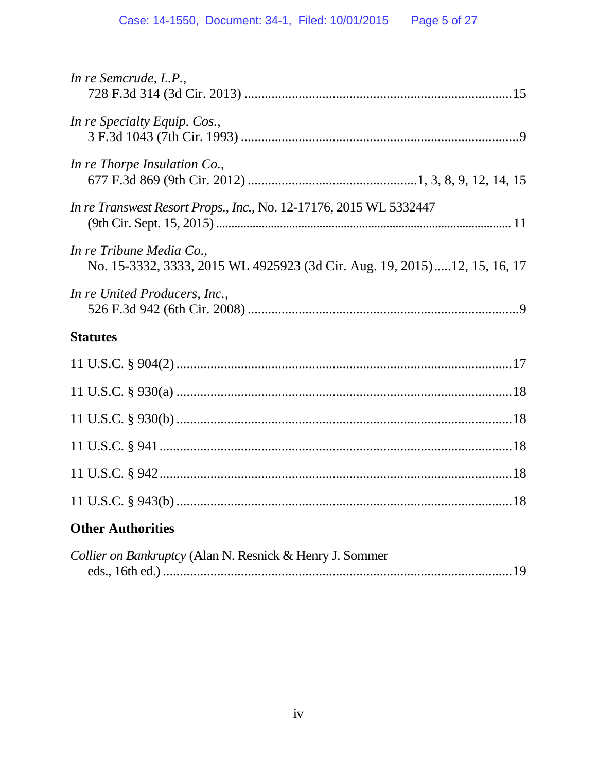| In re Semcrude, L.P.,                                                                                |
|------------------------------------------------------------------------------------------------------|
| In re Specialty Equip. Cos.,                                                                         |
| In re Thorpe Insulation Co.,                                                                         |
| In re Transwest Resort Props., Inc., No. 12-17176, 2015 WL 5332447                                   |
| In re Tribune Media Co.,<br>No. 15-3332, 3333, 2015 WL 4925923 (3d Cir. Aug. 19, 2015)12, 15, 16, 17 |
| In re United Producers, Inc.,                                                                        |
| <b>Statutes</b>                                                                                      |
|                                                                                                      |
|                                                                                                      |
|                                                                                                      |
|                                                                                                      |
|                                                                                                      |
|                                                                                                      |
|                                                                                                      |
| <b>Other Authorities</b>                                                                             |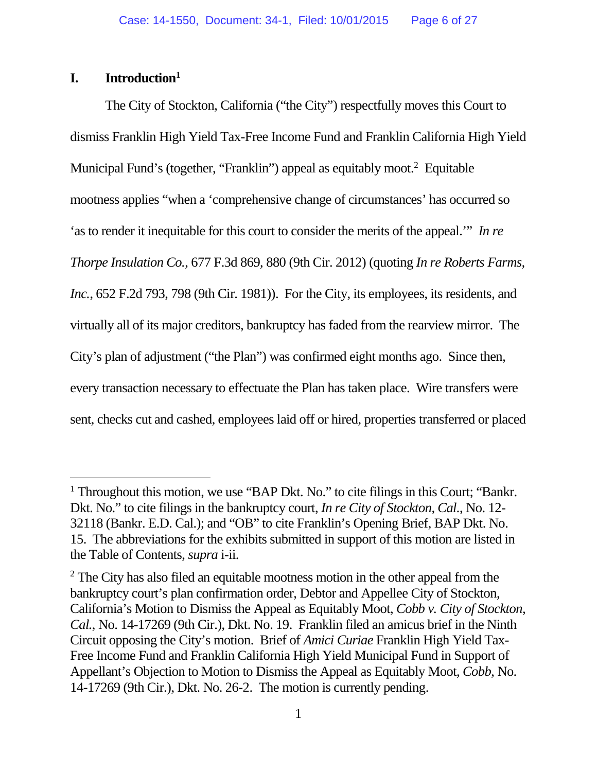## **I. Introduction<sup>1</sup>**

The City of Stockton, California ("the City") respectfully moves this Court to dismiss Franklin High Yield Tax-Free Income Fund and Franklin California High Yield Municipal Fund's (together, "Franklin") appeal as equitably moot.<sup>2</sup> Equitable mootness applies "when a 'comprehensive change of circumstances' has occurred so 'as to render it inequitable for this court to consider the merits of the appeal.'" *In re Thorpe Insulation Co.*, 677 F.3d 869, 880 (9th Cir. 2012) (quoting *In re Roberts Farms, Inc.*, 652 F.2d 793, 798 (9th Cir. 1981)). For the City, its employees, its residents, and virtually all of its major creditors, bankruptcy has faded from the rearview mirror. The City's plan of adjustment ("the Plan") was confirmed eight months ago. Since then, every transaction necessary to effectuate the Plan has taken place. Wire transfers were sent, checks cut and cashed, employees laid off or hired, properties transferred or placed

<sup>&</sup>lt;sup>1</sup> Throughout this motion, we use "BAP Dkt. No." to cite filings in this Court; "Bankr. Dkt. No." to cite filings in the bankruptcy court, *In re City of Stockton, Cal.*, No. 12- 32118 (Bankr. E.D. Cal.); and "OB" to cite Franklin's Opening Brief, BAP Dkt. No. 15. The abbreviations for the exhibits submitted in support of this motion are listed in the Table of Contents, *supra* i-ii.

 $2$  The City has also filed an equitable mootness motion in the other appeal from the bankruptcy court's plan confirmation order, Debtor and Appellee City of Stockton, California's Motion to Dismiss the Appeal as Equitably Moot, *Cobb v. City of Stockton, Cal.*, No. 14-17269 (9th Cir.), Dkt. No. 19. Franklin filed an amicus brief in the Ninth Circuit opposing the City's motion. Brief of *Amici Curiae* Franklin High Yield Tax-Free Income Fund and Franklin California High Yield Municipal Fund in Support of Appellant's Objection to Motion to Dismiss the Appeal as Equitably Moot, *Cobb*, No. 14-17269 (9th Cir.), Dkt. No. 26-2. The motion is currently pending.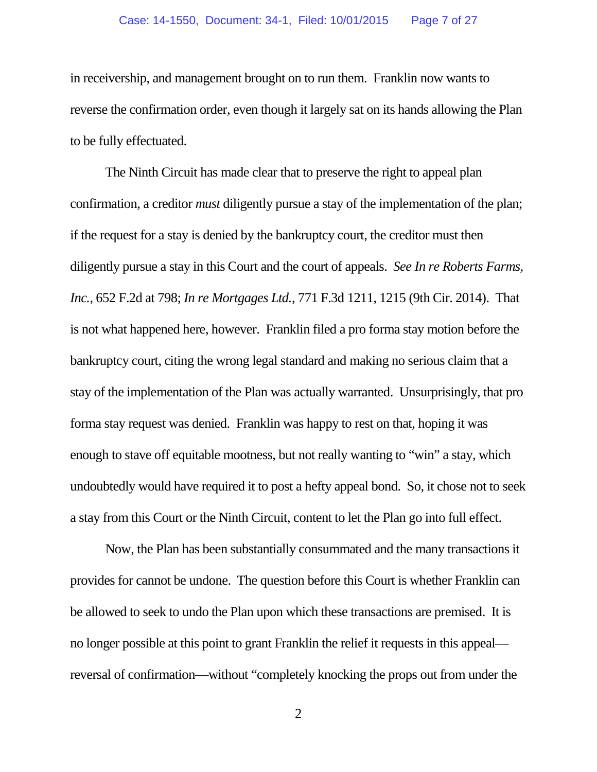in receivership, and management brought on to run them. Franklin now wants to reverse the confirmation order, even though it largely sat on its hands allowing the Plan to be fully effectuated.

The Ninth Circuit has made clear that to preserve the right to appeal plan confirmation, a creditor *must* diligently pursue a stay of the implementation of the plan; if the request for a stay is denied by the bankruptcy court, the creditor must then diligently pursue a stay in this Court and the court of appeals. *See In re Roberts Farms, Inc.*, 652 F.2d at 798; *In re Mortgages Ltd.*, 771 F.3d 1211, 1215 (9th Cir. 2014). That is not what happened here, however. Franklin filed a pro forma stay motion before the bankruptcy court, citing the wrong legal standard and making no serious claim that a stay of the implementation of the Plan was actually warranted. Unsurprisingly, that pro forma stay request was denied. Franklin was happy to rest on that, hoping it was enough to stave off equitable mootness, but not really wanting to "win" a stay, which undoubtedly would have required it to post a hefty appeal bond. So, it chose not to seek a stay from this Court or the Ninth Circuit, content to let the Plan go into full effect.

Now, the Plan has been substantially consummated and the many transactions it provides for cannot be undone. The question before this Court is whether Franklin can be allowed to seek to undo the Plan upon which these transactions are premised. It is no longer possible at this point to grant Franklin the relief it requests in this appeal reversal of confirmation—without "completely knocking the props out from under the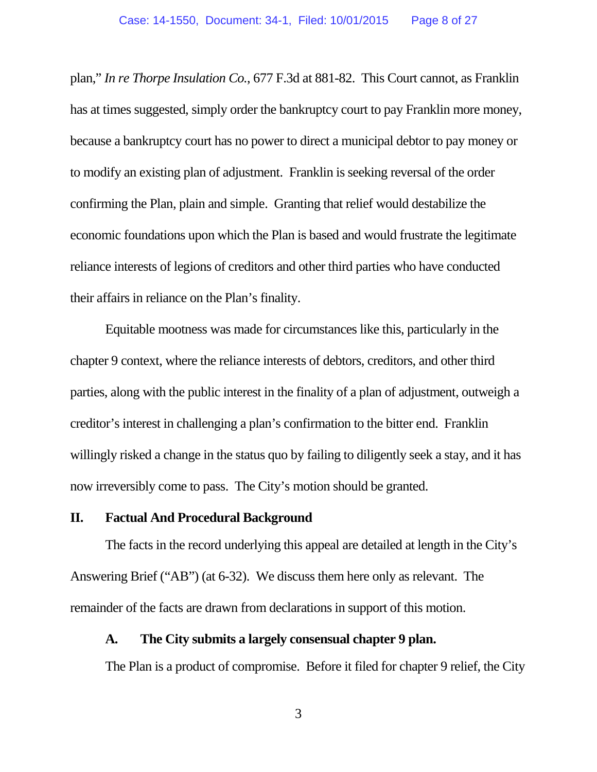plan," *In re Thorpe Insulation Co.*, 677 F.3d at 881-82. This Court cannot, as Franklin has at times suggested, simply order the bankruptcy court to pay Franklin more money, because a bankruptcy court has no power to direct a municipal debtor to pay money or to modify an existing plan of adjustment. Franklin is seeking reversal of the order confirming the Plan, plain and simple. Granting that relief would destabilize the economic foundations upon which the Plan is based and would frustrate the legitimate reliance interests of legions of creditors and other third parties who have conducted their affairs in reliance on the Plan's finality.

Equitable mootness was made for circumstances like this, particularly in the chapter 9 context, where the reliance interests of debtors, creditors, and other third parties, along with the public interest in the finality of a plan of adjustment, outweigh a creditor's interest in challenging a plan's confirmation to the bitter end. Franklin willingly risked a change in the status quo by failing to diligently seek a stay, and it has now irreversibly come to pass. The City's motion should be granted.

### **II. Factual And Procedural Background**

The facts in the record underlying this appeal are detailed at length in the City's Answering Brief ("AB") (at 6-32). We discuss them here only as relevant. The remainder of the facts are drawn from declarations in support of this motion.

#### **A. The City submits a largely consensual chapter 9 plan.**

The Plan is a product of compromise. Before it filed for chapter 9 relief, the City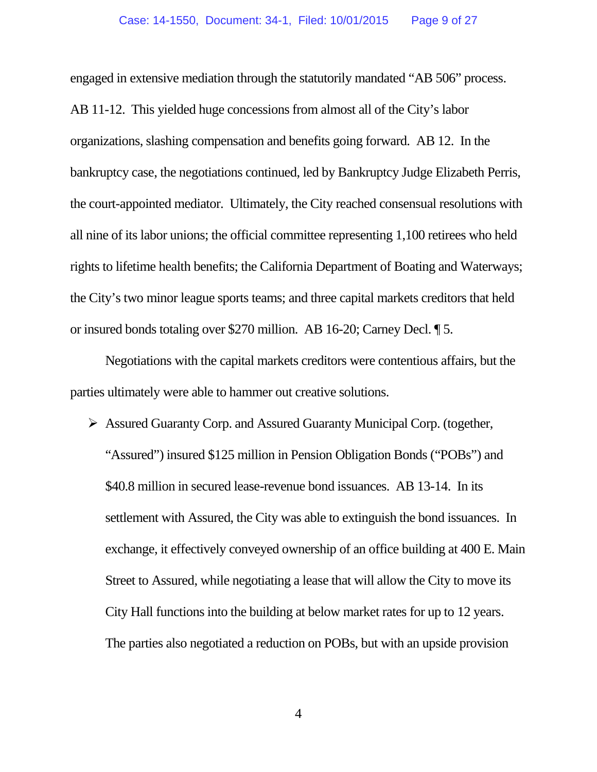engaged in extensive mediation through the statutorily mandated "AB 506" process. AB 11-12. This yielded huge concessions from almost all of the City's labor organizations, slashing compensation and benefits going forward. AB 12. In the bankruptcy case, the negotiations continued, led by Bankruptcy Judge Elizabeth Perris, the court-appointed mediator. Ultimately, the City reached consensual resolutions with all nine of its labor unions; the official committee representing 1,100 retirees who held rights to lifetime health benefits; the California Department of Boating and Waterways; the City's two minor league sports teams; and three capital markets creditors that held or insured bonds totaling over \$270 million. AB 16-20; Carney Decl. ¶ 5.

Negotiations with the capital markets creditors were contentious affairs, but the parties ultimately were able to hammer out creative solutions.

 Assured Guaranty Corp. and Assured Guaranty Municipal Corp. (together, "Assured") insured \$125 million in Pension Obligation Bonds ("POBs") and \$40.8 million in secured lease-revenue bond issuances. AB 13-14. In its settlement with Assured, the City was able to extinguish the bond issuances. In exchange, it effectively conveyed ownership of an office building at 400 E. Main Street to Assured, while negotiating a lease that will allow the City to move its City Hall functions into the building at below market rates for up to 12 years. The parties also negotiated a reduction on POBs, but with an upside provision

4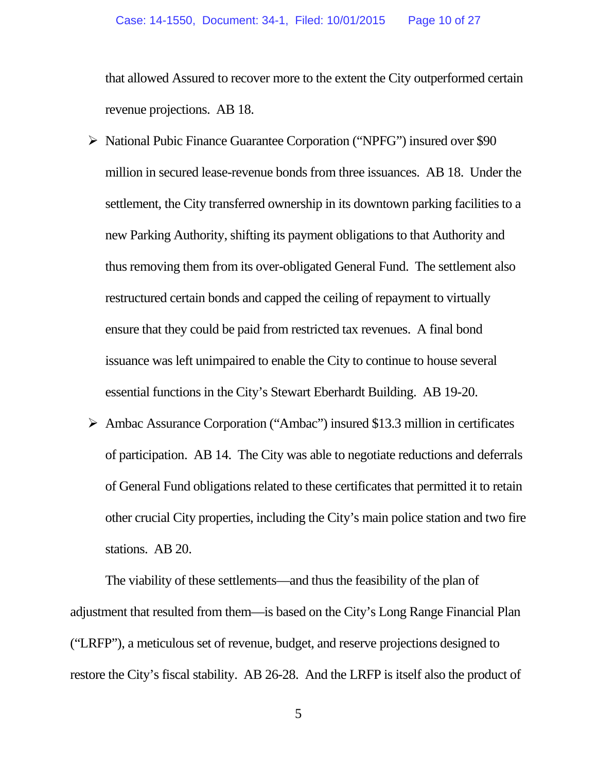that allowed Assured to recover more to the extent the City outperformed certain revenue projections. AB 18.

- National Pubic Finance Guarantee Corporation ("NPFG") insured over \$90 million in secured lease-revenue bonds from three issuances. AB 18. Under the settlement, the City transferred ownership in its downtown parking facilities to a new Parking Authority, shifting its payment obligations to that Authority and thus removing them from its over-obligated General Fund. The settlement also restructured certain bonds and capped the ceiling of repayment to virtually ensure that they could be paid from restricted tax revenues. A final bond issuance was left unimpaired to enable the City to continue to house several essential functions in the City's Stewart Eberhardt Building. AB 19-20.
- Ambac Assurance Corporation ("Ambac") insured \$13.3 million in certificates of participation. AB 14. The City was able to negotiate reductions and deferrals of General Fund obligations related to these certificates that permitted it to retain other crucial City properties, including the City's main police station and two fire stations. AB 20.

The viability of these settlements—and thus the feasibility of the plan of adjustment that resulted from them—is based on the City's Long Range Financial Plan ("LRFP"), a meticulous set of revenue, budget, and reserve projections designed to restore the City's fiscal stability. AB 26-28. And the LRFP is itself also the product of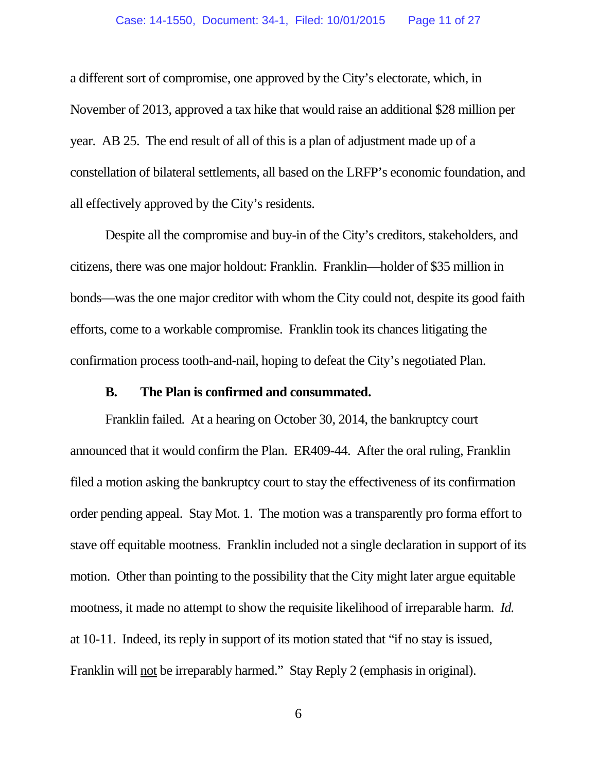a different sort of compromise, one approved by the City's electorate, which, in November of 2013, approved a tax hike that would raise an additional \$28 million per year. AB 25. The end result of all of this is a plan of adjustment made up of a constellation of bilateral settlements, all based on the LRFP's economic foundation, and all effectively approved by the City's residents.

Despite all the compromise and buy-in of the City's creditors, stakeholders, and citizens, there was one major holdout: Franklin. Franklin—holder of \$35 million in bonds—was the one major creditor with whom the City could not, despite its good faith efforts, come to a workable compromise. Franklin took its chances litigating the confirmation process tooth-and-nail, hoping to defeat the City's negotiated Plan.

### **B. The Plan is confirmed and consummated.**

Franklin failed. At a hearing on October 30, 2014, the bankruptcy court announced that it would confirm the Plan. ER409-44. After the oral ruling, Franklin filed a motion asking the bankruptcy court to stay the effectiveness of its confirmation order pending appeal. Stay Mot. 1. The motion was a transparently pro forma effort to stave off equitable mootness. Franklin included not a single declaration in support of its motion. Other than pointing to the possibility that the City might later argue equitable mootness, it made no attempt to show the requisite likelihood of irreparable harm. *Id.* at 10-11. Indeed, its reply in support of its motion stated that "if no stay is issued, Franklin will not be irreparably harmed." Stay Reply 2 (emphasis in original).

6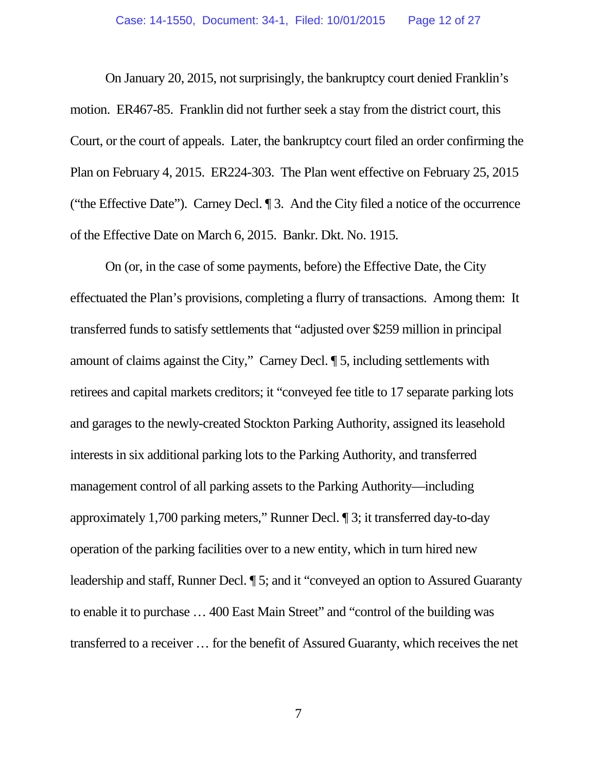On January 20, 2015, not surprisingly, the bankruptcy court denied Franklin's motion. ER467-85. Franklin did not further seek a stay from the district court, this Court, or the court of appeals. Later, the bankruptcy court filed an order confirming the Plan on February 4, 2015. ER224-303. The Plan went effective on February 25, 2015 ("the Effective Date"). Carney Decl. ¶ 3. And the City filed a notice of the occurrence of the Effective Date on March 6, 2015. Bankr. Dkt. No. 1915.

On (or, in the case of some payments, before) the Effective Date, the City effectuated the Plan's provisions, completing a flurry of transactions. Among them: It transferred funds to satisfy settlements that "adjusted over \$259 million in principal amount of claims against the City," Carney Decl. ¶ 5, including settlements with retirees and capital markets creditors; it "conveyed fee title to 17 separate parking lots and garages to the newly-created Stockton Parking Authority, assigned its leasehold interests in six additional parking lots to the Parking Authority, and transferred management control of all parking assets to the Parking Authority—including approximately 1,700 parking meters," Runner Decl. ¶ 3; it transferred day-to-day operation of the parking facilities over to a new entity, which in turn hired new leadership and staff, Runner Decl. ¶ 5; and it "conveyed an option to Assured Guaranty to enable it to purchase … 400 East Main Street" and "control of the building was transferred to a receiver … for the benefit of Assured Guaranty, which receives the net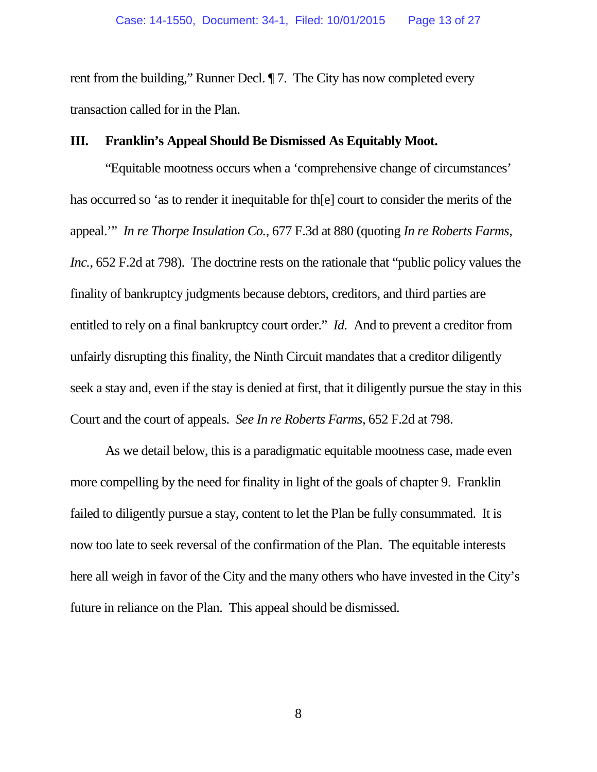rent from the building," Runner Decl. ¶ 7. The City has now completed every transaction called for in the Plan.

### **III. Franklin's Appeal Should Be Dismissed As Equitably Moot.**

"Equitable mootness occurs when a 'comprehensive change of circumstances' has occurred so 'as to render it inequitable for th[e] court to consider the merits of the appeal.'" *In re Thorpe Insulation Co.*, 677 F.3d at 880 (quoting *In re Roberts Farms, Inc.*, 652 F.2d at 798). The doctrine rests on the rationale that "public policy values the finality of bankruptcy judgments because debtors, creditors, and third parties are entitled to rely on a final bankruptcy court order." *Id.* And to prevent a creditor from unfairly disrupting this finality, the Ninth Circuit mandates that a creditor diligently seek a stay and, even if the stay is denied at first, that it diligently pursue the stay in this Court and the court of appeals. *See In re Roberts Farms*, 652 F.2d at 798.

As we detail below, this is a paradigmatic equitable mootness case, made even more compelling by the need for finality in light of the goals of chapter 9. Franklin failed to diligently pursue a stay, content to let the Plan be fully consummated. It is now too late to seek reversal of the confirmation of the Plan. The equitable interests here all weigh in favor of the City and the many others who have invested in the City's future in reliance on the Plan. This appeal should be dismissed.

8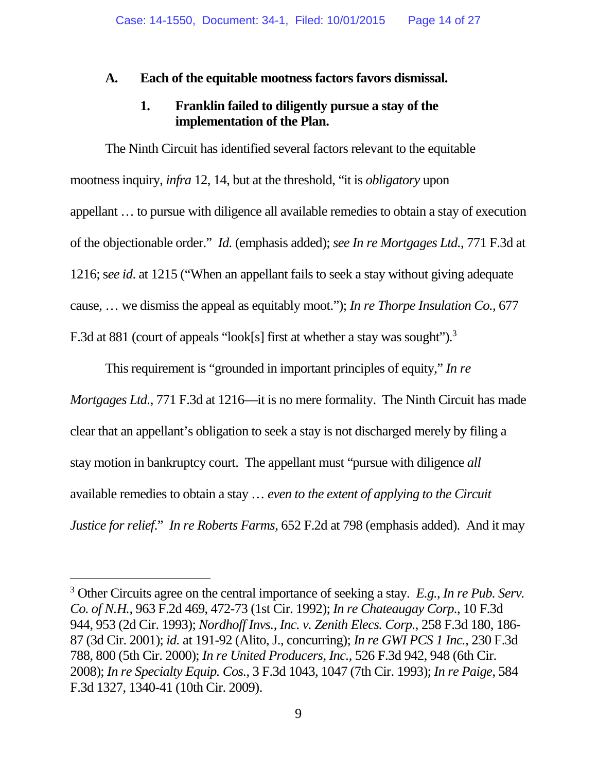## **A. Each of the equitable mootness factors favors dismissal.**

## **1. Franklin failed to diligently pursue a stay of the implementation of the Plan.**

The Ninth Circuit has identified several factors relevant to the equitable mootness inquiry, *infra* 12, 14, but at the threshold, "it is *obligatory* upon appellant … to pursue with diligence all available remedies to obtain a stay of execution of the objectionable order." *Id.* (emphasis added); *see In re Mortgages Ltd.*, 771 F.3d at 1216; s*ee id*. at 1215 ("When an appellant fails to seek a stay without giving adequate cause, … we dismiss the appeal as equitably moot."); *In re Thorpe Insulation Co.*, 677 F.3d at 881 (court of appeals "look[s] first at whether a stay was sought").<sup>3</sup>

This requirement is "grounded in important principles of equity," *In re*

*Mortgages Ltd.*, 771 F.3d at 1216—it is no mere formality. The Ninth Circuit has made clear that an appellant's obligation to seek a stay is not discharged merely by filing a stay motion in bankruptcy court. The appellant must "pursue with diligence *all* available remedies to obtain a stay … *even to the extent of applying to the Circuit Justice for relief*." *In re Roberts Farms*, 652 F.2d at 798 (emphasis added). And it may

<sup>3</sup> Other Circuits agree on the central importance of seeking a stay. *E.g.*, *In re Pub. Serv. Co. of N.H.*, 963 F.2d 469, 472-73 (1st Cir. 1992); *In re Chateaugay Corp.*, 10 F.3d 944, 953 (2d Cir. 1993); *Nordhoff Invs., Inc. v. Zenith Elecs. Corp.*, 258 F.3d 180, 186- 87 (3d Cir. 2001); *id.* at 191-92 (Alito, J., concurring); *In re GWI PCS 1 Inc.*, 230 F.3d 788, 800 (5th Cir. 2000); *In re United Producers, Inc.*, 526 F.3d 942, 948 (6th Cir. 2008); *In re Specialty Equip. Cos.*, 3 F.3d 1043, 1047 (7th Cir. 1993); *In re Paige*, 584 F.3d 1327, 1340-41 (10th Cir. 2009).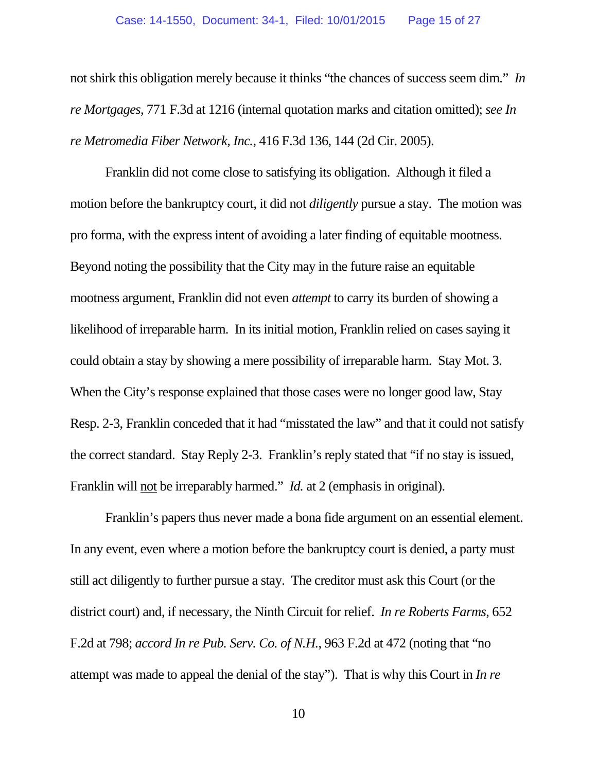not shirk this obligation merely because it thinks "the chances of success seem dim." *In re Mortgages*, 771 F.3d at 1216 (internal quotation marks and citation omitted); *see In re Metromedia Fiber Network, Inc.*, 416 F.3d 136, 144 (2d Cir. 2005).

Franklin did not come close to satisfying its obligation. Although it filed a motion before the bankruptcy court, it did not *diligently* pursue a stay. The motion was pro forma, with the express intent of avoiding a later finding of equitable mootness. Beyond noting the possibility that the City may in the future raise an equitable mootness argument, Franklin did not even *attempt* to carry its burden of showing a likelihood of irreparable harm. In its initial motion, Franklin relied on cases saying it could obtain a stay by showing a mere possibility of irreparable harm. Stay Mot. 3. When the City's response explained that those cases were no longer good law, Stay Resp. 2-3, Franklin conceded that it had "misstated the law" and that it could not satisfy the correct standard. Stay Reply 2-3. Franklin's reply stated that "if no stay is issued, Franklin will not be irreparably harmed." *Id.* at 2 (emphasis in original).

Franklin's papers thus never made a bona fide argument on an essential element. In any event, even where a motion before the bankruptcy court is denied, a party must still act diligently to further pursue a stay. The creditor must ask this Court (or the district court) and, if necessary, the Ninth Circuit for relief. *In re Roberts Farms*, 652 F.2d at 798; *accord In re Pub. Serv. Co. of N.H.*, 963 F.2d at 472 (noting that "no attempt was made to appeal the denial of the stay"). That is why this Court in *In re*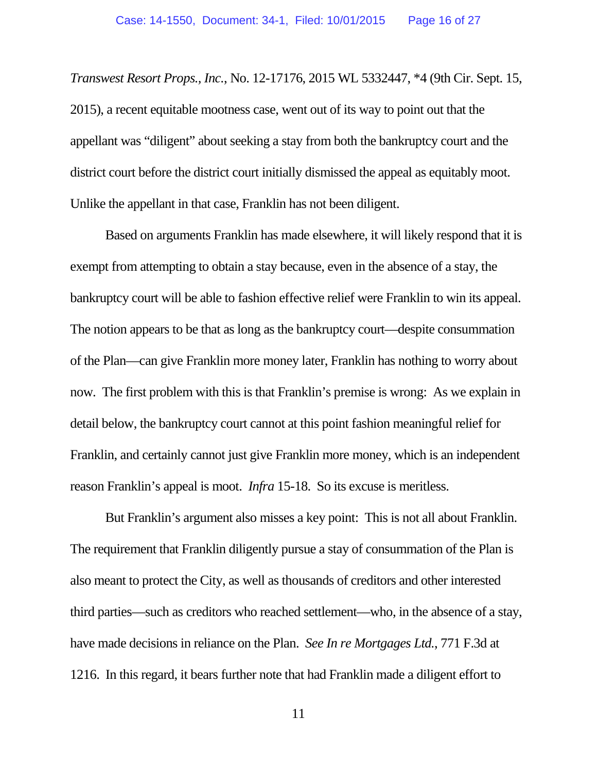*Transwest Resort Props., Inc.*, No. 12-17176, 2015 WL 5332447, \*4 (9th Cir. Sept. 15, 2015), a recent equitable mootness case, went out of its way to point out that the appellant was "diligent" about seeking a stay from both the bankruptcy court and the district court before the district court initially dismissed the appeal as equitably moot. Unlike the appellant in that case, Franklin has not been diligent.

Based on arguments Franklin has made elsewhere, it will likely respond that it is exempt from attempting to obtain a stay because, even in the absence of a stay, the bankruptcy court will be able to fashion effective relief were Franklin to win its appeal. The notion appears to be that as long as the bankruptcy court—despite consummation of the Plan—can give Franklin more money later, Franklin has nothing to worry about now. The first problem with this is that Franklin's premise is wrong: As we explain in detail below, the bankruptcy court cannot at this point fashion meaningful relief for Franklin, and certainly cannot just give Franklin more money, which is an independent reason Franklin's appeal is moot. *Infra* 15-18. So its excuse is meritless.

But Franklin's argument also misses a key point: This is not all about Franklin. The requirement that Franklin diligently pursue a stay of consummation of the Plan is also meant to protect the City, as well as thousands of creditors and other interested third parties—such as creditors who reached settlement—who, in the absence of a stay, have made decisions in reliance on the Plan. *See In re Mortgages Ltd.*, 771 F.3d at 1216. In this regard, it bears further note that had Franklin made a diligent effort to

11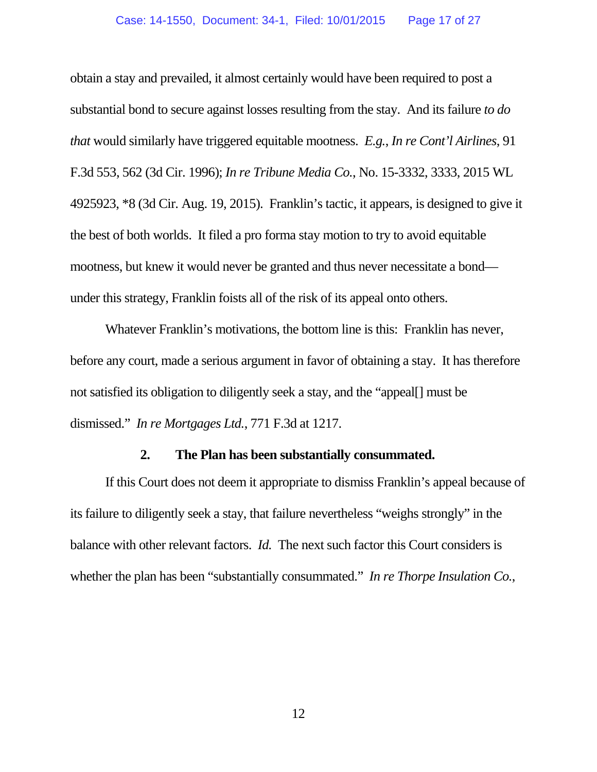obtain a stay and prevailed, it almost certainly would have been required to post a substantial bond to secure against losses resulting from the stay. And its failure *to do that* would similarly have triggered equitable mootness. *E.g.*, *In re Cont'l Airlines*, 91 F.3d 553, 562 (3d Cir. 1996); *In re Tribune Media Co.*, No. 15-3332, 3333, 2015 WL 4925923, \*8 (3d Cir. Aug. 19, 2015). Franklin's tactic, it appears, is designed to give it the best of both worlds. It filed a pro forma stay motion to try to avoid equitable mootness, but knew it would never be granted and thus never necessitate a bond under this strategy, Franklin foists all of the risk of its appeal onto others.

Whatever Franklin's motivations, the bottom line is this: Franklin has never, before any court, made a serious argument in favor of obtaining a stay. It has therefore not satisfied its obligation to diligently seek a stay, and the "appeal[] must be dismissed." *In re Mortgages Ltd.*, 771 F.3d at 1217.

#### **2. The Plan has been substantially consummated.**

If this Court does not deem it appropriate to dismiss Franklin's appeal because of its failure to diligently seek a stay, that failure nevertheless "weighs strongly" in the balance with other relevant factors. *Id.* The next such factor this Court considers is whether the plan has been "substantially consummated." *In re Thorpe Insulation Co.*,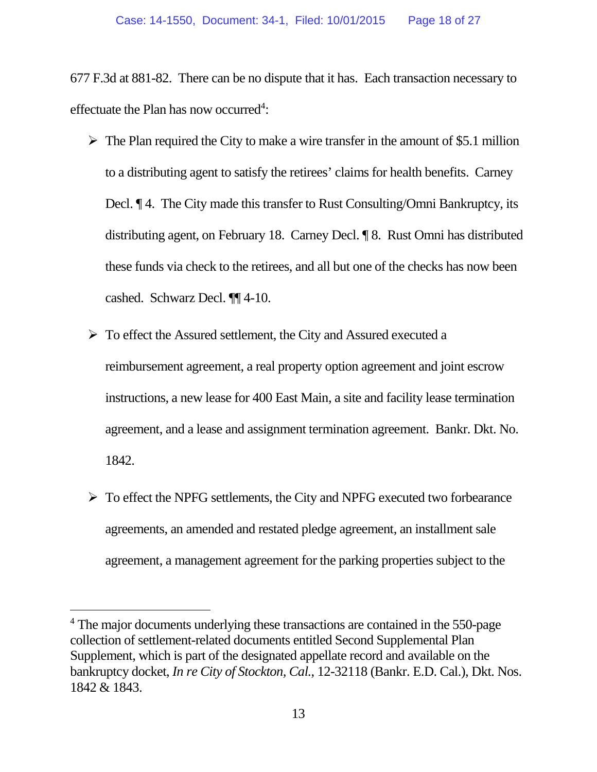677 F.3d at 881-82. There can be no dispute that it has. Each transaction necessary to effectuate the Plan has now occurred<sup>4</sup>:

- $\triangleright$  The Plan required the City to make a wire transfer in the amount of \$5.1 million to a distributing agent to satisfy the retirees' claims for health benefits. Carney Decl. ¶ 4. The City made this transfer to Rust Consulting/Omni Bankruptcy, its distributing agent, on February 18. Carney Decl. ¶ 8. Rust Omni has distributed these funds via check to the retirees, and all but one of the checks has now been cashed. Schwarz Decl. ¶¶ 4-10.
- To effect the Assured settlement, the City and Assured executed a reimbursement agreement, a real property option agreement and joint escrow instructions, a new lease for 400 East Main, a site and facility lease termination agreement, and a lease and assignment termination agreement. Bankr. Dkt. No. 1842.
- $\triangleright$  To effect the NPFG settlements, the City and NPFG executed two forbearance agreements, an amended and restated pledge agreement, an installment sale agreement, a management agreement for the parking properties subject to the

<sup>&</sup>lt;sup>4</sup> The major documents underlying these transactions are contained in the 550-page collection of settlement-related documents entitled Second Supplemental Plan Supplement, which is part of the designated appellate record and available on the bankruptcy docket, *In re City of Stockton, Cal.*, 12-32118 (Bankr. E.D. Cal.), Dkt. Nos. 1842 & 1843.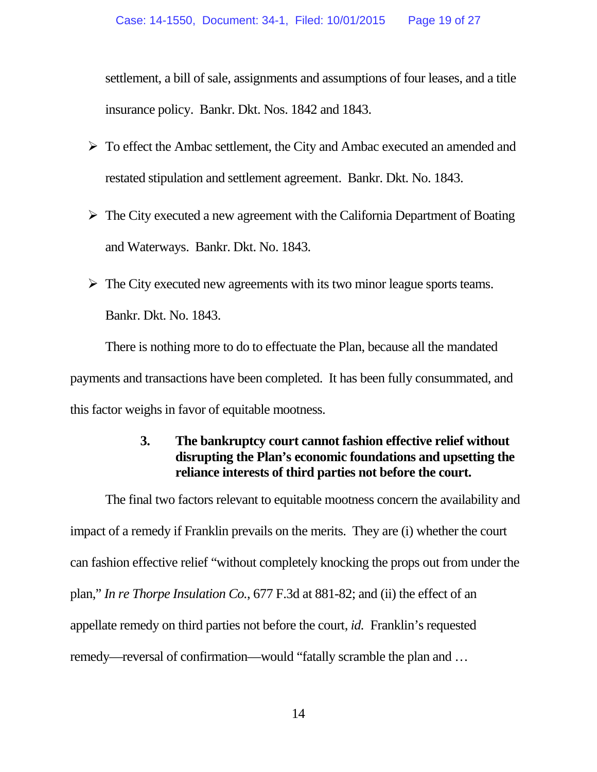settlement, a bill of sale, assignments and assumptions of four leases, and a title insurance policy. Bankr. Dkt. Nos. 1842 and 1843.

- To effect the Ambac settlement, the City and Ambac executed an amended and restated stipulation and settlement agreement. Bankr. Dkt. No. 1843.
- $\triangleright$  The City executed a new agreement with the California Department of Boating and Waterways. Bankr. Dkt. No. 1843.
- $\triangleright$  The City executed new agreements with its two minor league sports teams. Bankr. Dkt. No. 1843.

There is nothing more to do to effectuate the Plan, because all the mandated payments and transactions have been completed. It has been fully consummated, and this factor weighs in favor of equitable mootness.

## **3. The bankruptcy court cannot fashion effective relief without disrupting the Plan's economic foundations and upsetting the reliance interests of third parties not before the court.**

The final two factors relevant to equitable mootness concern the availability and impact of a remedy if Franklin prevails on the merits. They are (i) whether the court can fashion effective relief "without completely knocking the props out from under the plan," *In re Thorpe Insulation Co.*, 677 F.3d at 881-82; and (ii) the effect of an appellate remedy on third parties not before the court, *id.* Franklin's requested remedy—reversal of confirmation—would "fatally scramble the plan and …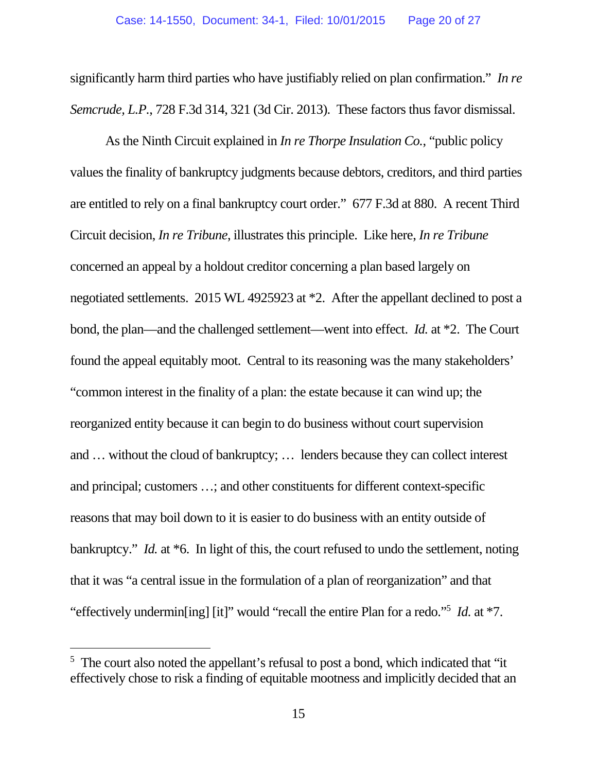significantly harm third parties who have justifiably relied on plan confirmation." *In re Semcrude, L.P.*, 728 F.3d 314, 321 (3d Cir. 2013). These factors thus favor dismissal.

As the Ninth Circuit explained in *In re Thorpe Insulation Co.*, "public policy values the finality of bankruptcy judgments because debtors, creditors, and third parties are entitled to rely on a final bankruptcy court order." 677 F.3d at 880. A recent Third Circuit decision, *In re Tribune*, illustrates this principle. Like here, *In re Tribune* concerned an appeal by a holdout creditor concerning a plan based largely on negotiated settlements. 2015 WL 4925923 at \*2. After the appellant declined to post a bond, the plan—and the challenged settlement—went into effect. *Id.* at \*2. The Court found the appeal equitably moot. Central to its reasoning was the many stakeholders' "common interest in the finality of a plan: the estate because it can wind up; the reorganized entity because it can begin to do business without court supervision and … without the cloud of bankruptcy; … lenders because they can collect interest and principal; customers …; and other constituents for different context-specific reasons that may boil down to it is easier to do business with an entity outside of bankruptcy." *Id.* at \*6. In light of this, the court refused to undo the settlement, noting that it was "a central issue in the formulation of a plan of reorganization" and that "effectively undermin[ing] [it]" would "recall the entire Plan for a redo."<sup>5</sup> *Id.* at \*7.

<sup>5</sup> The court also noted the appellant's refusal to post a bond, which indicated that "it effectively chose to risk a finding of equitable mootness and implicitly decided that an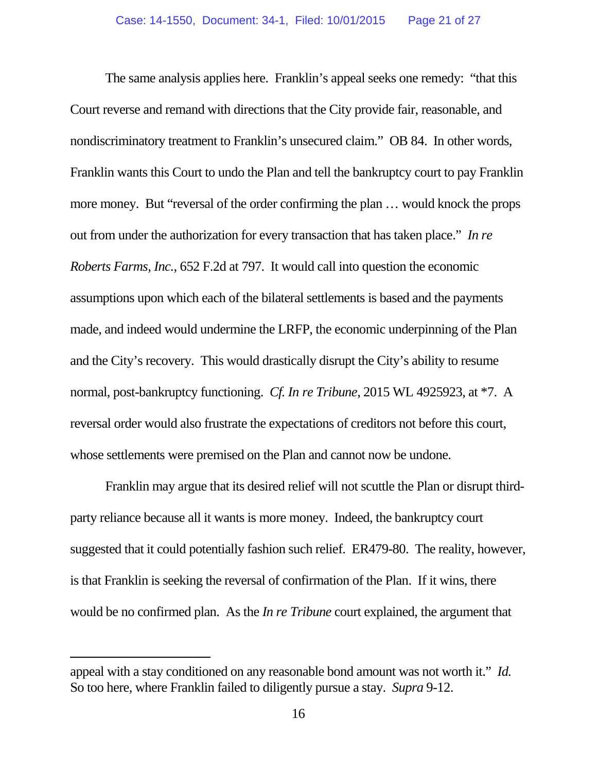The same analysis applies here. Franklin's appeal seeks one remedy: "that this Court reverse and remand with directions that the City provide fair, reasonable, and nondiscriminatory treatment to Franklin's unsecured claim." OB 84. In other words, Franklin wants this Court to undo the Plan and tell the bankruptcy court to pay Franklin more money. But "reversal of the order confirming the plan … would knock the props out from under the authorization for every transaction that has taken place." *In re Roberts Farms, Inc.*, 652 F.2d at 797. It would call into question the economic assumptions upon which each of the bilateral settlements is based and the payments made, and indeed would undermine the LRFP, the economic underpinning of the Plan and the City's recovery. This would drastically disrupt the City's ability to resume normal, post-bankruptcy functioning. *Cf. In re Tribune*, 2015 WL 4925923, at \*7. A reversal order would also frustrate the expectations of creditors not before this court, whose settlements were premised on the Plan and cannot now be undone.

Franklin may argue that its desired relief will not scuttle the Plan or disrupt thirdparty reliance because all it wants is more money. Indeed, the bankruptcy court suggested that it could potentially fashion such relief. ER479-80. The reality, however, is that Franklin is seeking the reversal of confirmation of the Plan. If it wins, there would be no confirmed plan. As the *In re Tribune* court explained, the argument that

appeal with a stay conditioned on any reasonable bond amount was not worth it." *Id.* So too here, where Franklin failed to diligently pursue a stay. *Supra* 9-12.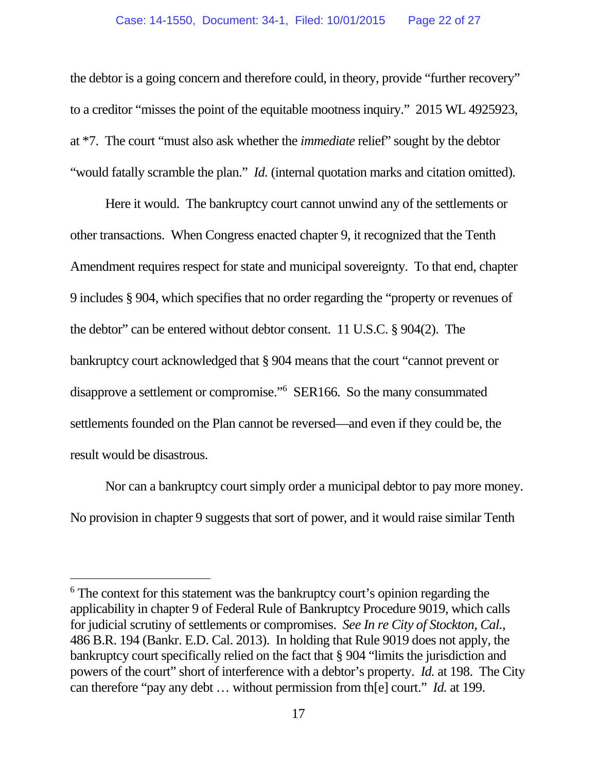the debtor is a going concern and therefore could, in theory, provide "further recovery" to a creditor "misses the point of the equitable mootness inquiry." 2015 WL 4925923, at \*7. The court "must also ask whether the *immediate* relief" sought by the debtor "would fatally scramble the plan." *Id.* (internal quotation marks and citation omitted).

Here it would. The bankruptcy court cannot unwind any of the settlements or other transactions. When Congress enacted chapter 9, it recognized that the Tenth Amendment requires respect for state and municipal sovereignty. To that end, chapter 9 includes § 904, which specifies that no order regarding the "property or revenues of the debtor" can be entered without debtor consent. 11 U.S.C. § 904(2). The bankruptcy court acknowledged that § 904 means that the court "cannot prevent or disapprove a settlement or compromise."<sup>6</sup> SER166. So the many consummated settlements founded on the Plan cannot be reversed—and even if they could be, the result would be disastrous.

Nor can a bankruptcy court simply order a municipal debtor to pay more money. No provision in chapter 9 suggests that sort of power, and it would raise similar Tenth

<sup>&</sup>lt;sup>6</sup> The context for this statement was the bankruptcy court's opinion regarding the applicability in chapter 9 of Federal Rule of Bankruptcy Procedure 9019, which calls for judicial scrutiny of settlements or compromises. *See In re City of Stockton, Cal.*, 486 B.R. 194 (Bankr. E.D. Cal. 2013). In holding that Rule 9019 does not apply, the bankruptcy court specifically relied on the fact that § 904 "limits the jurisdiction and powers of the court" short of interference with a debtor's property. *Id.* at 198. The City can therefore "pay any debt … without permission from th[e] court." *Id.* at 199.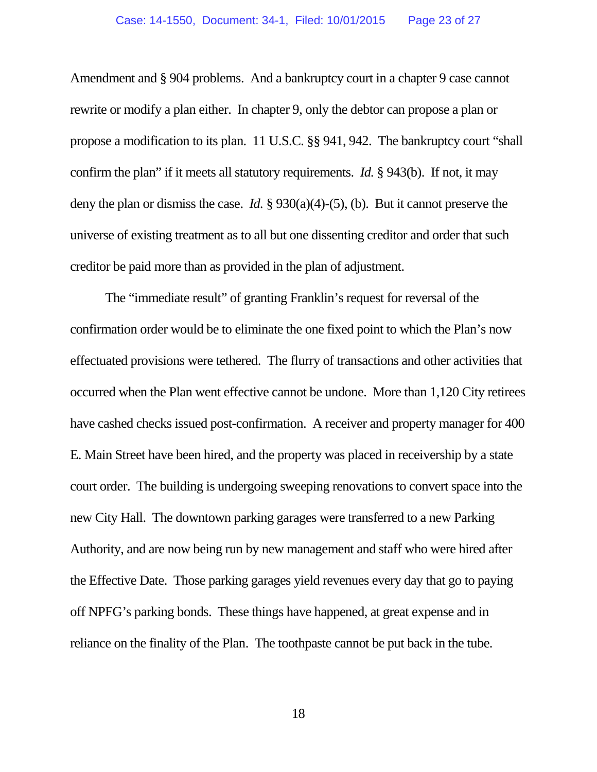Amendment and § 904 problems. And a bankruptcy court in a chapter 9 case cannot rewrite or modify a plan either. In chapter 9, only the debtor can propose a plan or propose a modification to its plan. 11 U.S.C. §§ 941, 942. The bankruptcy court "shall confirm the plan" if it meets all statutory requirements. *Id.* § 943(b). If not, it may deny the plan or dismiss the case. *Id.* § 930(a)(4)-(5), (b). But it cannot preserve the universe of existing treatment as to all but one dissenting creditor and order that such creditor be paid more than as provided in the plan of adjustment.

The "immediate result" of granting Franklin's request for reversal of the confirmation order would be to eliminate the one fixed point to which the Plan's now effectuated provisions were tethered. The flurry of transactions and other activities that occurred when the Plan went effective cannot be undone. More than 1,120 City retirees have cashed checks issued post-confirmation. A receiver and property manager for 400 E. Main Street have been hired, and the property was placed in receivership by a state court order. The building is undergoing sweeping renovations to convert space into the new City Hall. The downtown parking garages were transferred to a new Parking Authority, and are now being run by new management and staff who were hired after the Effective Date. Those parking garages yield revenues every day that go to paying off NPFG's parking bonds. These things have happened, at great expense and in reliance on the finality of the Plan. The toothpaste cannot be put back in the tube.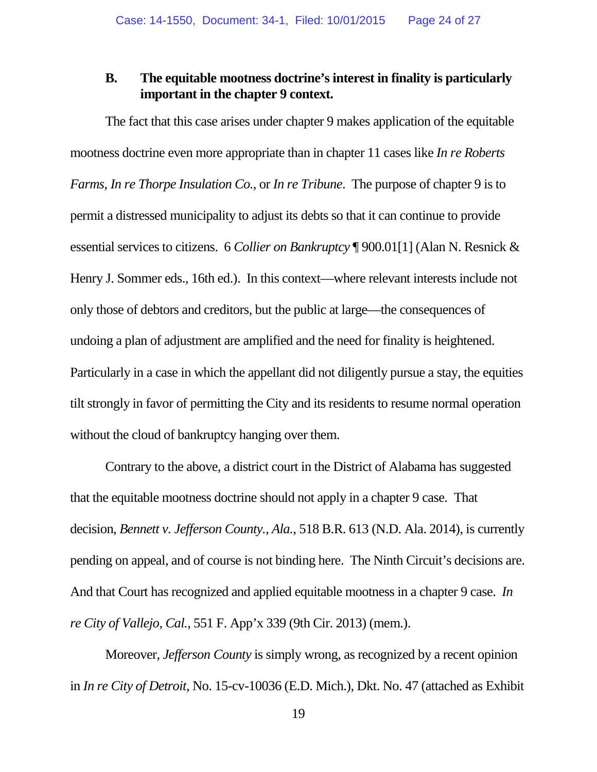## **B. The equitable mootness doctrine's interest in finality is particularly important in the chapter 9 context.**

The fact that this case arises under chapter 9 makes application of the equitable mootness doctrine even more appropriate than in chapter 11 cases like *In re Roberts Farms*, *In re Thorpe Insulation Co.*, or *In re Tribune*. The purpose of chapter 9 is to permit a distressed municipality to adjust its debts so that it can continue to provide essential services to citizens. 6 *Collier on Bankruptcy* ¶ 900.01[1] (Alan N. Resnick & Henry J. Sommer eds., 16th ed.). In this context—where relevant interests include not only those of debtors and creditors, but the public at large—the consequences of undoing a plan of adjustment are amplified and the need for finality is heightened. Particularly in a case in which the appellant did not diligently pursue a stay, the equities tilt strongly in favor of permitting the City and its residents to resume normal operation without the cloud of bankruptcy hanging over them.

Contrary to the above, a district court in the District of Alabama has suggested that the equitable mootness doctrine should not apply in a chapter 9 case. That decision, *Bennett v. Jefferson County., Ala.*, 518 B.R. 613 (N.D. Ala. 2014), is currently pending on appeal, and of course is not binding here. The Ninth Circuit's decisions are. And that Court has recognized and applied equitable mootness in a chapter 9 case. *In re City of Vallejo, Cal.*, 551 F. App'x 339 (9th Cir. 2013) (mem.).

Moreover, *Jefferson County* is simply wrong, as recognized by a recent opinion in *In re City of Detroit*, No. 15-cv-10036 (E.D. Mich.), Dkt. No. 47 (attached as Exhibit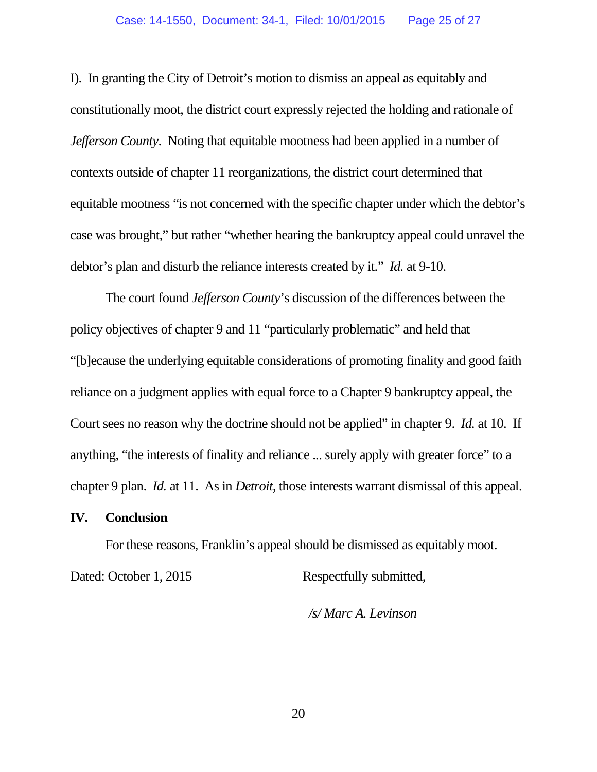I). In granting the City of Detroit's motion to dismiss an appeal as equitably and constitutionally moot, the district court expressly rejected the holding and rationale of *Jefferson County*. Noting that equitable mootness had been applied in a number of contexts outside of chapter 11 reorganizations, the district court determined that equitable mootness "is not concerned with the specific chapter under which the debtor's case was brought," but rather "whether hearing the bankruptcy appeal could unravel the debtor's plan and disturb the reliance interests created by it." *Id.* at 9-10.

The court found *Jefferson County*'s discussion of the differences between the policy objectives of chapter 9 and 11 "particularly problematic" and held that "[b]ecause the underlying equitable considerations of promoting finality and good faith reliance on a judgment applies with equal force to a Chapter 9 bankruptcy appeal, the Court sees no reason why the doctrine should not be applied" in chapter 9. *Id.* at 10. If anything, "the interests of finality and reliance ... surely apply with greater force" to a chapter 9 plan. *Id.* at 11. As in *Detroit*, those interests warrant dismissal of this appeal.

## **IV. Conclusion**

For these reasons, Franklin's appeal should be dismissed as equitably moot.

Dated: October 1, 2015 Respectfully submitted,

*/s/ Marc A. Levinson*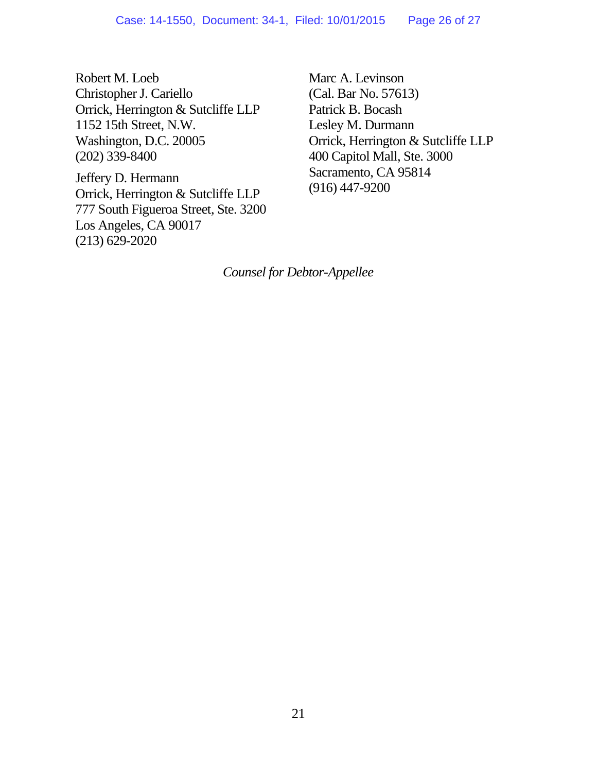Robert M. Loeb Christopher J. Cariello Orrick, Herrington & Sutcliffe LLP 1152 15th Street, N.W. Washington, D.C. 20005 (202) 339-8400

Jeffery D. Hermann Orrick, Herrington & Sutcliffe LLP 777 South Figueroa Street, Ste. 3200 Los Angeles, CA 90017 (213) 629-2020

Marc A. Levinson (Cal. Bar No. 57613) Patrick B. Bocash Lesley M. Durmann Orrick, Herrington & Sutcliffe LLP 400 Capitol Mall, Ste. 3000 Sacramento, CA 95814 (916) 447-9200

*Counsel for Debtor-Appellee*